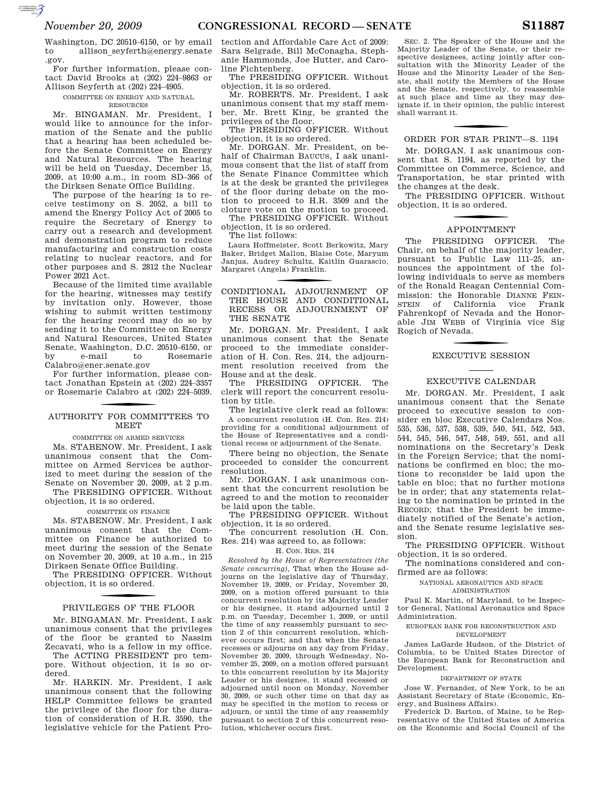Washington, DC 20510–6150, or by email to allison seyferth@energy.senate .gov.

For further information, please contact David Brooks at (202) 224–9863 or Allison Seyferth at (202) 224–4905.

#### COMMITTEE ON ENERGY AND NATURAL RESOURCES

Mr. BINGAMAN. Mr. President, I would like to announce for the information of the Senate and the public that a hearing has been scheduled before the Senate Committee on Energy and Natural Resources. The hearing will be held on Tuesday, December 15, 2009, at 10:00 a.m., in room SD–366 of the Dirksen Senate Office Building.

The purpose of the hearing is to receive testimony on S. 2052, a bill to amend the Energy Policy Act of 2005 to require the Secretary of Energy to carry out a research and development and demonstration program to reduce manufacturing and construction costs relating to nuclear reactors, and for other purposes and S. 2812 the Nuclear Power 2021 Act.

Because of the limited time available for the hearing, witnesses may testify by invitation only. However, those wishing to submit written testimony for the hearing record may do so by sending it to the Committee on Energy and Natural Resources, United States Senate, Washington, D.C. 20510–6150, or by e-mail to Rosemarie Calabro@ener.senate.gov

For further information, please contact Jonathan Epstein at (202) 224–3357 or Rosemarie Calabro at (202) 224–5039.

## f AUTHORITY FOR COMMITTEES TO **MEET**

COMMITTEE ON ARMED SERVICES

Ms. STABENOW. Mr. President, I ask unanimous consent that the Committee on Armed Services be authorized to meet during the session of the Senate on November 20, 2009, at 2 p.m. The PRESIDING OFFICER. Without

objection, it is so ordered.

#### COMMITTEE ON FINANCE

Ms. STABENOW. Mr. President, I ask unanimous consent that the Committee on Finance be authorized to meet during the session of the Senate on November 20, 2009, at 10 a.m., in 215 Dirksen Senate Office Building.

The PRESIDING OFFICER. Without objection, it is so ordered.

# f PRIVILEGES OF THE FLOOR

Mr. BINGAMAN. Mr. President, I ask unanimous consent that the privileges of the floor be granted to Nassim Zecavati, who is a fellow in my office.

The ACTING PRESIDENT pro tempore. Without objection, it is so ordered.

Mr. HARKIN. Mr. President, I ask unanimous consent that the following HELP Committee fellows be granted the privilege of the floor for the duration of consideration of H.R. 3590, the legislative vehicle for the Patient Pro-

tection and Affordable Care Act of 2009: Sara Selgrade, Bill McConagha, Stephanie Hammonds, Joe Hutter, and Caroline Fichtenberg.

The PRESIDING OFFICER. Without objection, it is so ordered.

Mr. ROBERTS. Mr. President, I ask unanimous consent that my staff member, Mr. Brett King, be granted the privileges of the floor.

The PRESIDING OFFICER. Without objection, it is so ordered.

Mr. DORGAN. Mr. President, on behalf of Chairman BAUCUS, I ask unanimous consent that the list of staff from the Senate Finance Committee which is at the desk be granted the privileges of the floor during debate on the motion to proceed to H.R. 3509 and the cloture vote on the motion to proceed. The PRESIDING OFFICER. Without

objection, it is so ordered.

The list follows:

Laura Hoffmeister, Scott Berkowitz, Mary Baker, Bridget Mallon, Blaise Cote, Maryum Janjua, Audrey Schultz, Kaitlin Guarascio, Margaret (Angela) Franklin.

### f CONDITIONAL ADJOURNMENT OF THE HOUSE AND CONDITIONAL RECESS OR ADJOURNMENT OF THE SENATE

Mr. DORGAN. Mr. President, I ask unanimous consent that the Senate proceed to the immediate consideration of H. Con. Res. 214, the adjournment resolution received from the House and at the desk.

The PRESIDING OFFICER. The clerk will report the concurrent resolution by title.

The legislative clerk read as follows: A concurrent resolution (H. Con. Res. 214) providing for a conditional adjournment of the House of Representatives and a conditional recess or adjournment of the Senate.

There being no objection, the Senate proceeded to consider the concurrent resolution.

Mr. DORGAN. I ask unanimous consent that the concurrent resolution be agreed to and the motion to reconsider be laid upon the table.

The PRESIDING OFFICER. Without objection, it is so ordered.

The concurrent resolution (H. Con. Res. 214) was agreed to, as follows:

#### H. CON. RES. 214

*Resolved by the House of Representatives (the Senate concurring),* That when the House adjourns on the legislative day of Thursday, November 19, 2009, or Friday, November 20, 2009, on a motion offered pursuant to this concurrent resolution by its Majority Leader or his designee, it stand adjourned until 2 p.m. on Tuesday, December 1, 2009, or until the time of any reassembly pursuant to section 2 of this concurrent resolution, whichever occurs first; and that when the Senate recesses or adjourns on any day from Friday, November 20, 2009, through Wednesday, November 25, 2009, on a motion offered pursuant to this concurrent resolution by its Majority Leader or his designee, it stand recessed or adjourned until noon on Monday, November 30, 2009, or such other time on that day as may be specified in the motion to recess or adjourn, or until the time of any reassembly pursuant to section 2 of this concurrent resolution, whichever occurs first.

SEC. 2. The Speaker of the House and the Majority Leader of the Senate, or their respective designees, acting jointly after consultation with the Minority Leader of the House and the Minority Leader of the Senate, shall notify the Members of the House and the Senate, respectively, to reassemble at such place and time as they may designate if, in their opinion, the public interest shall warrant it.

# f ORDER FOR STAR PRINT—S. 1194

Mr. DORGAN. I ask unanimous consent that S. 1194, as reported by the Committee on Commerce, Science, and Transportation, be star printed with the changes at the desk.

The PRESIDING OFFICER. Without objection, it is so ordered.

# **APPOINTMENT**

The PRESIDING OFFICER. The Chair, on behalf of the majority leader, pursuant to Public Law 111–25, announces the appointment of the following individuals to serve as members of the Ronald Reagan Centennial Commission: the Honorable DIANNE FEIN-STEIN of California vice Frank Fahrenkopf of Nevada and the Honorable JIM WEBB of Virginia vice Sig Rogich of Nevada.

# f EXECUTIVE SESSION

#### EXECUTIVE CALENDAR

Mr. DORGAN. Mr. President, I ask unanimous consent that the Senate proceed to executive session to consider en bloc Executive Calendars Nos. 535, 536, 537, 538, 539, 540, 541, 542, 543, 544, 545, 546, 547, 548, 549, 551, and all nominations on the Secretary's Desk in the Foreign Service; that the nominations be confirmed en bloc; the motions to reconsider be laid upon the table en bloc; that no further motions be in order; that any statements relating to the nomination be printed in the RECORD; that the President be immediately notified of the Senate's action, and the Senate resume legislative session.

The PRESIDING OFFICER. Without objection, it is so ordered.

The nominations considered and confirmed are as follows:

NATIONAL AERONAUTICS AND SPACE

ADMINISTRATION

Paul K. Martin, of Maryland, to be Inspector General, National Aeronautics and Space Administration.

EUROPEAN BANK FOR RECONSTRUCTION AND DEVELOPMENT

James LaGarde Hudson, of the District of Columbia, to be United States Director of the European Bank for Reconstruction and Development.

#### DEPARTMENT OF STATE

Jose W. Fernandez, of New York, to be an Assistant Secretary of State (Economic, Energy, and Business Affairs).

Frederick D. Barton, of Maine, to be Representative of the United States of America on the Economic and Social Council of the